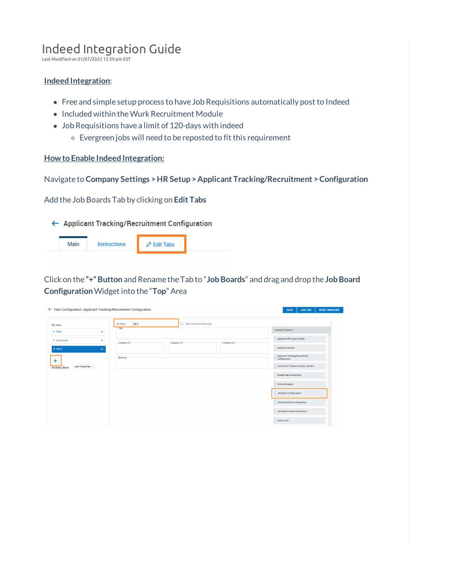# Indeed Integration Guide

Last Modified on 01/07/2022 12:59 pm EST

# **Indeed Integration**:

- Free and simple setup process to have Job Requisitions automatically post to Indeed
- Included within the Wurk Recruitment Module
- Job Requisitions have a limit of 120-days with indeed
	- Evergreen jobs will need to be reposted to fit this requirement

#### **How to Enable Indeed Integration:**

Navigate to **Company Settings >HR Setup > Applicant Tracking/Recruitment >Configuration**

Add the Job Boards Tab by clicking on **Edit Tabs**

#### ← Applicant Tracking/Recruitment Configuration

|  | Instructions | $\oslash$ Edit Tabs |  |
|--|--------------|---------------------|--|
|  |              |                     |  |

Click on the **"+" Button** and Rename the Tab to "**JobBoards**" and drag and drop the **JobBoard Configuration**Widget into the "**Top**" Area

|                                                  | ← Tabs Configuration: Applicant Tracking/Recruitment Configuration |                                                    |                          |           | <b>RESET WINDOWS</b><br><b>ADD TAB</b><br><b>SAVE</b>    |
|--------------------------------------------------|--------------------------------------------------------------------|----------------------------------------------------|--------------------------|-----------|----------------------------------------------------------|
| My Tabs                                          |                                                                    | Tab <sub>3</sub><br><b>Tab Name</b><br>$-$ Top $-$ | Show All Forms Minimized |           |                                                          |
| $\equiv$ Main                                    | $\times$                                                           |                                                    |                          |           | Available Windows<br>Applicant HR Custom Fields          |
| $\equiv$ Instructions<br>$\equiv$ Tab 3          | ×<br>$\times$                                                      | Column #1                                          | Column #2                | Column #3 | <b>Applicant Policies</b>                                |
| ÷                                                |                                                                    | Bottom                                             |                          |           | Applicant Tracking/Recruitment<br>Configuration          |
| Last Visited Tab $\smallsmile$<br>On Entry Show: |                                                                    |                                                    |                          |           | Conversion Tracker Company Vendors                       |
|                                                  |                                                                    |                                                    |                          |           | Google Map Instructions                                  |
|                                                  |                                                                    |                                                    |                          |           | <b>Hiring Managers</b>                                   |
|                                                  |                                                                    |                                                    |                          |           | Job Board Configuration<br>Job Requisition Configuration |
|                                                  |                                                                    |                                                    |                          |           | Job Search Setup Instructions                            |
|                                                  |                                                                    |                                                    |                          |           | Quick Links                                              |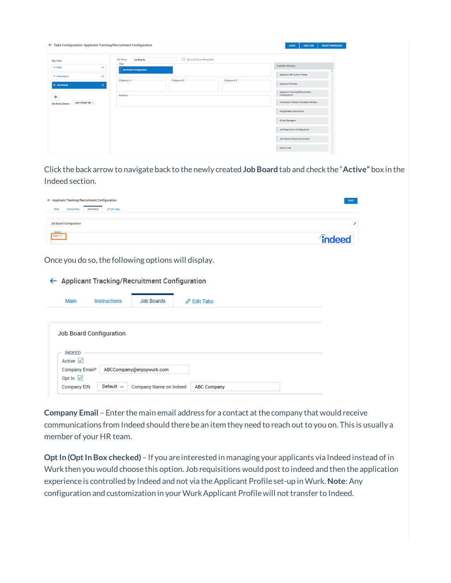| ← Tabs Configuration: Applicant Tracking/Recruitment Configuration |                                                    | <b>RESET WINDOWS</b><br><b>SAVE</b><br><b>ADD TAB</b> |
|--------------------------------------------------------------------|----------------------------------------------------|-------------------------------------------------------|
| My Tabs                                                            | Show All Forms Minimized<br>Job Boards<br>Tab Name |                                                       |
| $\equiv$ Main<br>$\times$                                          | $-$ Top<br><b>Job Board Configuration</b>          | Available Windows                                     |
| $\equiv$ Instructions<br>$\times$                                  |                                                    | Applicant HR Custom Fields                            |
| $\equiv$ Job Boards<br>$\times$                                    | Column #2<br>Column #3<br>Column #1                | <b>Applicant Policies</b>                             |
| ٠                                                                  | Bottom                                             | Applicant Tracking/Recruitment<br>Configuration       |
| Last Visited Tab $\sim$<br>On Entry Show:                          |                                                    | Conversion Tracker Company Vendors                    |
|                                                                    |                                                    | Google Map Instructions                               |
|                                                                    |                                                    | Hiring Managers                                       |
|                                                                    |                                                    | Job Requisition Configuration                         |
|                                                                    |                                                    | Job Search Setup Instructions                         |
|                                                                    |                                                    | Quick Links                                           |

Click the back arrow to navigate back to the newly created **JobBoard** tab and check the "**Active"** box in the Indeed section.

| ← Applicant Tracking/Recruitment Configuration                      |                |
|---------------------------------------------------------------------|----------------|
| <b>Job Boards</b><br>Main<br>Instructions<br>$\mathscr Q$ Edit Tabs |                |
| Job Board Configuration                                             |                |
| $\nightharpoonup$ INDEED $\nightharpoonup$<br>Active                | <i>findeed</i> |

Once you do so, the following options will display.

← Applicant Tracking/Recruitment Configuration

| Main                        | <b>Instructions</b>     | Job Boards               | $\varnothing$ Edit Tabs |
|-----------------------------|-------------------------|--------------------------|-------------------------|
|                             |                         |                          |                         |
|                             | Job Board Configuration |                          |                         |
|                             |                         |                          |                         |
| <b>INDEED</b>               |                         |                          |                         |
| Active $\sqrt{}$            |                         |                          |                         |
| Company Email*              |                         | ABCCompany@enjoywurk.com |                         |
| Opt In $\boxed{\checkmark}$ |                         |                          |                         |

**Company Email** – Enter the main email address for a contact at the company that would receive communications from Indeed should there be an item they need to reach out to you on. This is usually a member of your HR team.

**Opt In (Opt In Box checked)** – If you are interested in managing your applicants via Indeed instead of in Wurk then you would choose this option. Job requisitions would post to indeed and then the application experience is controlled by Indeed and not via theApplicant Profile set-up in Wurk. **Note**: Any configuration and customization in your Wurk Applicant Profile will not transfer to Indeed.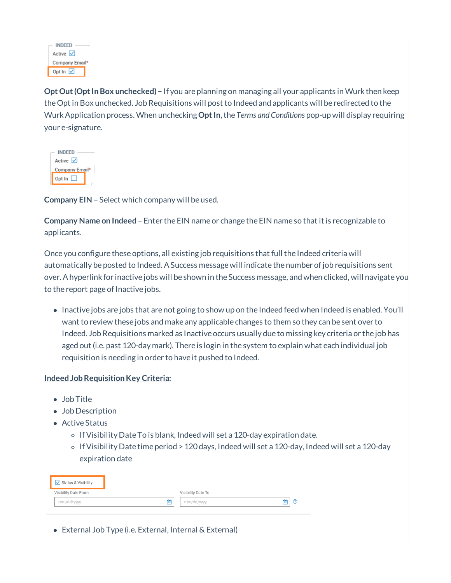| <b>INDEED</b>    |  |
|------------------|--|
| $Active$ $\vee$  |  |
| Company Email*   |  |
| Opt In $\sqrt{}$ |  |

**Opt Out (Opt In Box unchecked) –** If you are planning on managing all your applicants in Wurk then keep theOpt in Box unchecked. Job Requisitions will post to Indeed and applicants will be redirected to the Wurk Application process. When unchecking Opt In, the *Terms and Conditions* pop-up will display requiring your e-signature.

| <b>INDEED</b>  |
|----------------|
| Active V       |
| Company Email* |
| Opt $\ln$      |

**Company EIN** – Select which company will be used.

**Company Name on Indeed** – Enter the EIN name or change the EIN name so that it is recognizable to applicants.

Once you configure these options, all existing job requisitions that full the Indeed criteria will automatically be posted to Indeed. ASuccess messagewill indicate the number ofjob requisitions sent over. Ahyperlink for inactive jobs will be shown in the Success message, and when clicked, will navigate you to the report page of Inactive jobs.

• Inactive jobs are jobs that are not going to show up on the Indeed feed when Indeed is enabled. You'll want to review these jobs and make any applicable changes to them so they can be sent over to Indeed. Job Requisitions marked as Inactive occurs usually due to missing key criteria or the job has aged out (i.e. past 120-day mark). There is login in the system to explain what each individual job requisition is needing in order to have it pushed to Indeed.

# **Indeed Job Requisition Key Criteria:**

- Job Title
- Job Description
- Active Status
	- $\circ$  If Visibility Date To is blank, Indeed will set a 120-day expiration date.
	- $\circ$  If Visibility Date time period > 120 days, Indeed will set a 120-day, Indeed will set a 120-day expiration date

| ✔ Status & Visibility |   |                    |   |  |
|-----------------------|---|--------------------|---|--|
| Visibility Date From  |   | Visibility Date To |   |  |
| mm/dd/yyyy            | 筒 | mm/dd/yyyy         | 夁 |  |
|                       |   |                    |   |  |

External Job Type (i.e. External, Internal & External)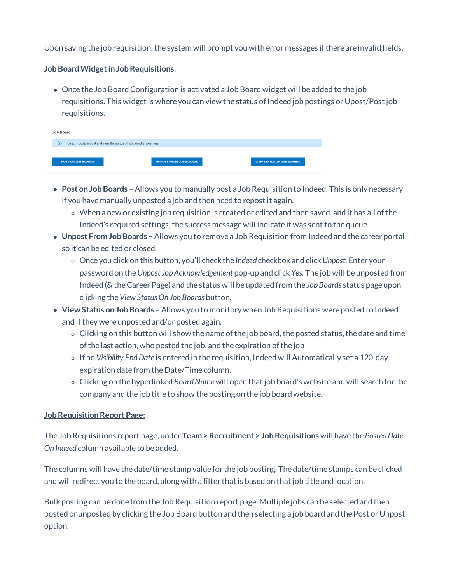Upon saving the job requisition, the system will prompt you with error messages if there are invalid fields.

# **Job Board Widget in Job Requisitions:**

Once the Job BoardConfiguration is activated a Job Board widget will be added to the job requisitions. This widget is where you can view the status of Indeed job postings or Upost/Post job requisitions.

| Job Board |                           |                                                                     |                                  |  |  |  |
|-----------|---------------------------|---------------------------------------------------------------------|----------------------------------|--|--|--|
| ⋒         |                           | Directly post, unpost and view the status of job board(s) postings. |                                  |  |  |  |
|           |                           |                                                                     |                                  |  |  |  |
|           | <b>POST ON JOB BOARDS</b> | <b>UNPOST FROM JOB BOARDS</b>                                       | <b>VIEW STATUS ON JOB BOARDS</b> |  |  |  |

- **Post on JobBoards –**Allows you to manually post a Job Requisition to Indeed. This is only necessary if you have manually unposted a job and then need to repost it again.
	- $\circ$  When a new or existing job requisition is created or edited and then saved, and it has all of the Indeed's required settings, the success message will indicate it was sent to the queue.
- **Unpost From JobBoards –**Allows you to remove a Job Requisition from Indeed and the career portal so it can be edited or closed.
	- Once you click on this button, you'll check the *Indeed* checkbox and click*Unpost.* Enter your password on the*Unpost JobAcknowledgement* pop-up and click *Yes.* The job will be unposted from Indeed (& theCareer Page) and the status will be updated from the *JobBoards* status page upon clicking the*View Status On JobBoards* button.
- **View Status on JobBoards** Allows you to monitory when Job Requisitions were posted to Indeed and ifthey were unposted and/or posted again.
	- $\circ$  Clicking on this button will show the name of the job board, the posted status, the date and time of the last action, who posted the job, and the expiration of the job
	- If no *Visibility EndDate* is entered in the requisition, Indeed will Automatically set a 120-day expiration date from the Date/Time column.
	- Clicking on the hyperlinked *BoardName* will open that job board's website and will search for the company and the job title to show the posting on the job board website.

### **JobRequisitionReport Page:**

The Job Requisitions report page, under **Team >Recruitment > JobRequisitions** will have the *PostedDate On Indeed* column available to be added.

The columns will have the date/time stamp value for the job posting. The date/time stamps can be clicked and will redirect you to the board, along with a filter that is based on that job title and location.

Bulk posting can be done from the Job Requisition report page. Multiple jobs can be selected and then posted or unposted by clicking the Job Board button and then selecting a job board and the Post or Unpost option.